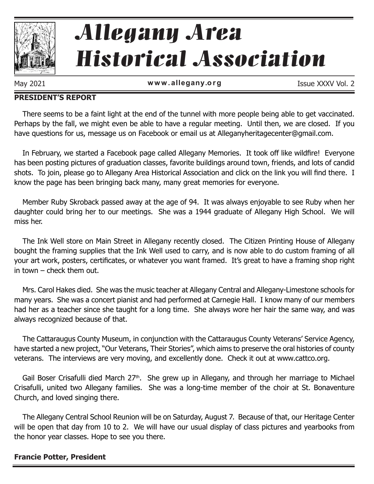

# Allegany Area Historical Association

May 2021 **www.allegany.org** Issue XXXV Vol. 2

#### **PRESIDENT'S REPORT**

There seems to be a faint light at the end of the tunnel with more people being able to get vaccinated. Perhaps by the fall, we might even be able to have a regular meeting. Until then, we are closed. If you have questions for us, message us on Facebook or email us at Alleganyheritagecenter@gmail.com.

In February, we started a Facebook page called Allegany Memories. It took off like wildfire! Everyone has been posting pictures of graduation classes, favorite buildings around town, friends, and lots of candid shots. To join, please go to Allegany Area Historical Association and click on the link you will find there. I know the page has been bringing back many, many great memories for everyone.

Member Ruby Skroback passed away at the age of 94. It was always enjoyable to see Ruby when her daughter could bring her to our meetings. She was a 1944 graduate of Allegany High School. We will miss her.

The Ink Well store on Main Street in Allegany recently closed. The Citizen Printing House of Allegany bought the framing supplies that the Ink Well used to carry, and is now able to do custom framing of all your art work, posters, certificates, or whatever you want framed. It's great to have a framing shop right in town – check them out.

Mrs. Carol Hakes died. She was the music teacher at Allegany Central and Allegany-Limestone schools for many years. She was a concert pianist and had performed at Carnegie Hall. I know many of our members had her as a teacher since she taught for a long time. She always wore her hair the same way, and was always recognized because of that.

The Cattaraugus County Museum, in conjunction with the Cattaraugus County Veterans' Service Agency, have started a new project, "Our Veterans, Their Stories", which aims to preserve the oral histories of county veterans. The interviews are very moving, and excellently done. Check it out at www.cattco.org.

Gail Boser Crisafulli died March 27<sup>th</sup>. She grew up in Allegany, and through her marriage to Michael Crisafulli, united two Allegany families. She was a long-time member of the choir at St. Bonaventure Church, and loved singing there.

The Allegany Central School Reunion will be on Saturday, August 7. Because of that, our Heritage Center will be open that day from 10 to 2. We will have our usual display of class pictures and yearbooks from the honor year classes. Hope to see you there.

#### **Francie Potter, President**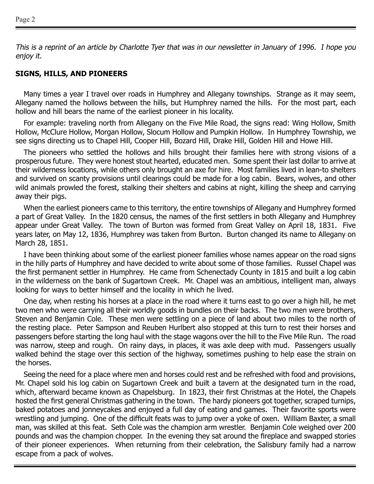This is a reprint of an article by Charlotte Tyer that was in our newsletter in January of 1996. I hope you enjoy it.

#### **SIGNS, HILLS, AND PIONEERS**

Many times a year I travel over roads in Humphrey and Allegany townships. Strange as it may seem, Allegany named the hollows between the hills, but Humphrey named the hills. For the most part, each hollow and hill bears the name of the earliest pioneer in his locality.

For example: traveling north from Allegany on the Five Mile Road, the signs read: Wing Hollow, Smith Hollow, McClure Hollow, Morgan Hollow, Slocum Hollow and Pumpkin Hollow. In Humphrey Township, we see signs directing us to Chapel Hill, Cooper Hill, Bozard Hill, Drake Hill, Golden Hill and Howe Hill.

The pioneers who settled the hollows and hills brought their families here with strong visions of a prosperous future. They were honest stout hearted, educated men. Some spent their last dollar to arrive at their wilderness locations, while others only brought an axe for hire. Most families lived in lean-to shelters and survived on scanty provisions until clearings could be made for a log cabin. Bears, wolves, and other wild animals prowled the forest, stalking their shelters and cabins at night, killing the sheep and carrying away their pigs.

When the earliest pioneers came to this territory, the entire townships of Allegany and Humphrey formed a part of Great Valley. In the 1820 census, the names of the first settlers in both Allegany and Humphrey appear under Great Valley. The town of Burton was formed from Great Valley on April 18, 1831. Five years later, on May 12, 1836, Humphrey was taken from Burton. Burton changed its name to Allegany on March 28, 1851.

I have been thinking about some of the earliest pioneer families whose names appear on the road signs in the hilly parts of Humphrey and have decided to write about some of those families. Russel Chapel was the first permanent settler in Humphrey. He came from Schenectady County in 1815 and built a log cabin in the wilderness on the bank of Sugartown Creek. Mr. Chapel was an ambitious, intelligent man, always looking for ways to better himself and the locality in which he lived.

One day, when resting his horses at a place in the road where it turns east to go over a high hill, he met two men who were carrying all their worldly goods in bundles on their backs. The two men were brothers, Steven and Benjamin Cole. These men were settling on a piece of land about two miles to the north of the resting place. Peter Sampson and Reuben Hurlbert also stopped at this turn to rest their horses and passengers before starting the long haul with the stage wagons over the hill to the Five Mile Run. The road was narrow, steep and rough. On rainy days, in places, it was axle deep with mud. Passengers usually walked behind the stage over this section of the highway, sometimes pushing to help ease the strain on the horses.

Seeing the need for a place where men and horses could rest and be refreshed with food and provisions, Mr. Chapel sold his log cabin on Sugartown Creek and built a tavern at the designated turn in the road, which, afterward became known as Chapelsburg. In 1823, their first Christmas at the Hotel, the Chapels hosted the first general Christmas gathering in the town. The hardy pioneers got together, scraped turnips, baked potatoes and jonneycakes and enjoyed a full day of eating and games. Their favorite sports were wrestling and jumping. One of the difficult feats was to jump over a yoke of oxen. William Baxter, a small man, was skilled at this feat. Seth Cole was the champion arm wrestler. Benjamin Cole weighed over 200 pounds and was the champion chopper. In the evening they sat around the fireplace and swapped stories of their pioneer experiences. When returning from their celebration, the Salisbury family had a narrow escape from a pack of wolves.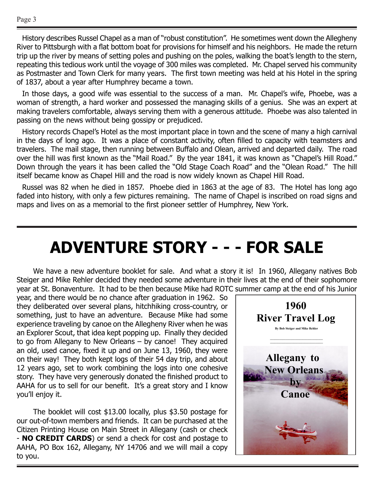History describes Russel Chapel as a man of "robust constitution". He sometimes went down the Allegheny River to Pittsburgh with a flat bottom boat for provisions for himself and his neighbors. He made the return trip up the river by means of setting poles and pushing on the poles, walking the boat's length to the stern, repeating this tedious work until the voyage of 300 miles was completed. Mr. Chapel served his community as Postmaster and Town Clerk for many years. The first town meeting was held at his Hotel in the spring of 1837, about a year after Humphrey became a town.

In those days, a good wife was essential to the success of a man. Mr. Chapel's wife, Phoebe, was a woman of strength, a hard worker and possessed the managing skills of a genius. She was an expert at making travelers comfortable, always serving them with a generous attitude. Phoebe was also talented in passing on the news without being gossipy or prejudiced.

History records Chapel's Hotel as the most important place in town and the scene of many a high carnival in the days of long ago. It was a place of constant activity, often filled to capacity with teamsters and travelers. The mail stage, then running between Buffalo and Olean, arrived and departed daily. The road over the hill was first known as the "Mail Road." By the year 1841, it was known as "Chapel's Hill Road." Down through the years it has been called the "Old Stage Coach Road" and the "Olean Road." The hill itself became know as Chapel Hill and the road is now widely known as Chapel Hill Road.

Russel was 82 when he died in 1857. Phoebe died in 1863 at the age of 83. The Hotel has long ago faded into history, with only a few pictures remaining. The name of Chapel is inscribed on road signs and maps and lives on as a memorial to the first pioneer settler of Humphrey, New York.

## **ADVENTURE STORY - - - FOR SALE**

We have a new adventure booklet for sale. And what a story it is! In 1960, Allegany natives Bob Steiger and Mike Rehler decided they needed some adventure in their lives at the end of their sophomore year at St. Bonaventure. It had to be then because Mike had ROTC summer camp at the end of his Junior

year, and there would be no chance after graduation in 1962. So they deliberated over several plans, hitchhiking cross-country, or something, just to have an adventure. Because Mike had some experience traveling by canoe on the Allegheny River when he was an Explorer Scout, that idea kept popping up. Finally they decided to go from Allegany to New Orleans – by canoe! They acquired an old, used canoe, fixed it up and on June 13, 1960, they were on their way! They both kept logs of their 54 day trip, and about 12 years ago, set to work combining the logs into one cohesive story. They have very generously donated the finished product to AAHA for us to sell for our benefit. It's a great story and I know you'll enjoy it.

The booklet will cost \$13.00 locally, plus \$3.50 postage for our out-of-town members and friends. It can be purchased at the Citizen Printing House on Main Street in Allegany (cash or check - **NO CREDIT CARDS**) or send a check for cost and postage to AAHA, PO Box 162, Allegany, NY 14706 and we will mail a copy to you.

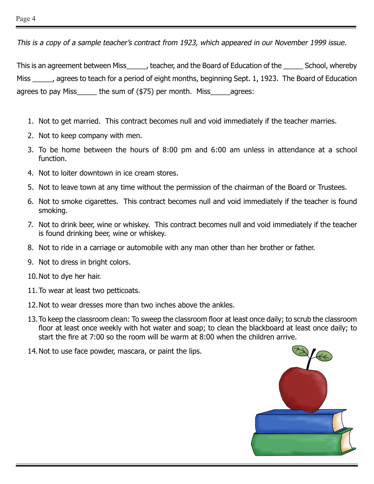This is a copy of a sample teacher's contract from 1923, which appeared in our November 1999 issue.

This is an agreement between Miss teacher, and the Board of Education of the School, whereby Miss agrees to teach for a period of eight months, beginning Sept. 1, 1923. The Board of Education agrees to pay Miss  $\qquad$  the sum of (\$75) per month. Miss agrees:

- 1. Not to get married. This contract becomes null and void immediately if the teacher marries.
- 2. Not to keep company with men.
- 3. To be home between the hours of 8:00 pm and 6:00 am unless in attendance at a school function.
- 4. Not to loiter downtown in ice cream stores.
- 5. Not to leave town at any time without the permission of the chairman of the Board or Trustees.
- 6. Not to smoke cigarettes. This contract becomes null and void immediately if the teacher is found smoking.
- 7. Not to drink beer, wine or whiskey. This contract becomes null and void immediately if the teacher is found drinking beer, wine or whiskey.
- 8. Not to ride in a carriage or automobile with any man other than her brother or father.
- 9. Not to dress in bright colors.
- 10.Not to dye her hair.
- 11.To wear at least two petticoats.
- 12.Not to wear dresses more than two inches above the ankles.
- 13.To keep the classroom clean: To sweep the classroom floor at least once daily; to scrub the classroom floor at least once weekly with hot water and soap; to clean the blackboard at least once daily; to start the fire at 7:00 so the room will be warm at 8:00 when the children arrive.
- 14.Not to use face powder, mascara, or paint the lips.

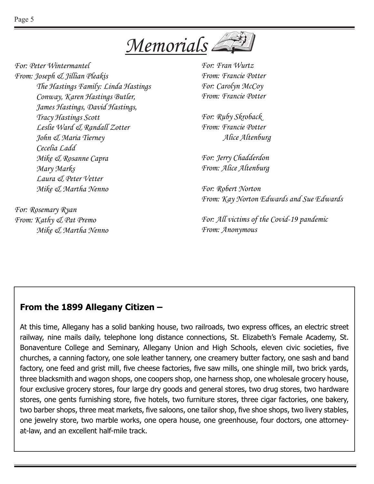

*For: Peter Wintermantel From: Joseph & Jillian Pleakis The Hastings Family: Linda Hastings Conway, Karen Hastings Butler, James Hastings, David Hastings, Tracy Hastings Scott Leslie Ward & Randall Zotter John & Maria Tierney Cecelia Ladd Mike & Rosanne Capra Mary Marks Laura & Peter Vetter Mike & Martha Nenno*

*For: Rosemary Ryan From: Kathy & Pat Premo Mike & Martha Nenno* *For: Fran Wurtz From: Francie Potter For: Carolyn McCoy From: Francie Potter*

*For: Ruby Skroback From: Francie Potter Alice Altenburg*

*For: Jerry Chadderdon From: Alice Altenburg*

*For: Robert Norton From: Kay Norton Edwards and Sue Edwards*

*For: All victims of the Covid-19 pandemic From: Anonymous*

#### **From the 1899 Allegany Citizen –**

At this time, Allegany has a solid banking house, two railroads, two express offices, an electric street railway, nine mails daily, telephone long distance connections, St. Elizabeth's Female Academy, St. Bonaventure College and Seminary, Allegany Union and High Schools, eleven civic societies, five churches, a canning factory, one sole leather tannery, one creamery butter factory, one sash and band factory, one feed and grist mill, five cheese factories, five saw mills, one shingle mill, two brick yards, three blacksmith and wagon shops, one coopers shop, one harness shop, one wholesale grocery house, four exclusive grocery stores, four large dry goods and general stores, two drug stores, two hardware stores, one gents furnishing store, five hotels, two furniture stores, three cigar factories, one bakery, two barber shops, three meat markets, five saloons, one tailor shop, five shoe shops, two livery stables, one jewelry store, two marble works, one opera house, one greenhouse, four doctors, one attorneyat-law, and an excellent half-mile track.